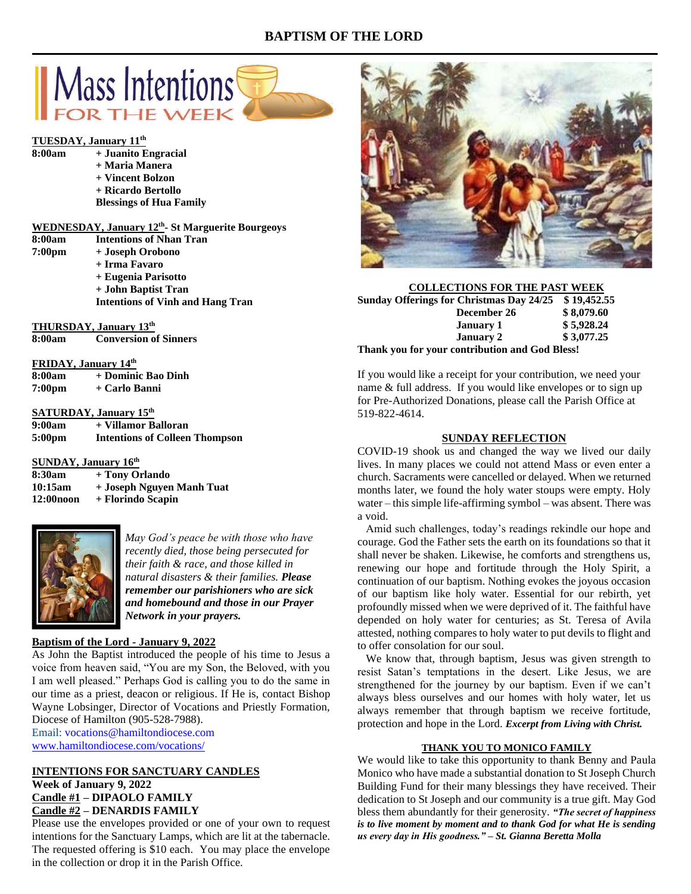# **BAPTISM OF THE LORD**



# **TUESDAY, January 11<sup>th</sup><br>8:00am + Juanito F**

| 8:00am | + Juanito Engracial            |
|--------|--------------------------------|
|        | + Maria Manera                 |
|        | + Vincent Bolzon               |
|        | + Ricardo Bertollo             |
|        | <b>Blessings of Hua Family</b> |

|   |  | <b>WEDNESDAY, January 12th</b> -St Marguerite Bourgeoys |  |
|---|--|---------------------------------------------------------|--|
| . |  |                                                         |  |

| 8:00am | <b>Intentions of Nhan Tran</b>                    |
|--------|---------------------------------------------------|
| 7:00pm | + Joseph Orobono                                  |
|        | + Irma Favaro                                     |
|        | + Eugenia Parisotto                               |
|        | + John Baptist Tran                               |
|        | <b>Intentions of Vinh and Hang Tran</b>           |
|        | THURSDAY, January 13th                            |
|        | 8:00am Conversion of Sinners                      |
|        | $T \cap T \cap A \setminus T$ , $T = 1$ , $T = 1$ |

| г КПЛА 1. Јаниагу 14 |                    |  |  |
|----------------------|--------------------|--|--|
| 8:00am               | + Dominic Bao Dinh |  |  |
| 7:00 <sub>pm</sub>   | + Carlo Banni      |  |  |

#### **SATURDAY, January 15th**

| 9:00am             | + Villamor Balloran                   |
|--------------------|---------------------------------------|
| 5:00 <sub>pm</sub> | <b>Intentions of Colleen Thompson</b> |

#### **SUNDAY, January 16th**

| 8:30am    | + Tony Orlando            |
|-----------|---------------------------|
| 10:15am   | + Joseph Nguyen Manh Tuat |
| 12:00noon | + Florindo Scapin         |



*May God's peace be with those who have recently died, those being persecuted for their faith & race, and those killed in natural disasters & their families. Please remember our parishioners who are sick and homebound and those in our Prayer Network in your prayers.*

#### **Baptism of the Lord - January 9, 2022**

As John the Baptist introduced the people of his time to Jesus a voice from heaven said, "You are my Son, the Beloved, with you I am well pleased." Perhaps God is calling you to do the same in our time as a priest, deacon or religious. If He is, contact Bishop Wayne Lobsinger, Director of Vocations and Priestly Formation, Diocese of Hamilton (905-528-7988). Email: [vocations@hamiltondiocese.com](mailto:vocations@hamiltondiocese.com)

[www.hamiltondiocese.com/vocations/](http://www.hamiltondiocese.com/vocations/)

#### **INTENTIONS FOR SANCTUARY CANDLES Week of January 9, 2022 Candle #1 – DIPAOLO FAMILY Candle #2 – DENARDIS FAMILY**

Please use the envelopes provided or one of your own to request intentions for the Sanctuary Lamps, which are lit at the tabernacle. The requested offering is \$10 each. You may place the envelope in the collection or drop it in the Parish Office.



| <b>COLLECTIONS FOR THE PAST WEEK</b>                 |            |
|------------------------------------------------------|------------|
| Sunday Offerings for Christmas Day 24/25 \$19,452.55 |            |
| December 26                                          | \$8,079.60 |
| <b>January 1</b>                                     | \$5,928.24 |
| <b>January 2</b>                                     | \$3,077.25 |
| Thank you for your contribution and God Bless!       |            |

If you would like a receipt for your contribution, we need your name & full address. If you would like envelopes or to sign up for Pre-Authorized Donations, please call the Parish Office at 519-822-4614.

#### **SUNDAY REFLECTION**

COVID-19 shook us and changed the way we lived our daily lives. In many places we could not attend Mass or even enter a church. Sacraments were cancelled or delayed. When we returned months later, we found the holy water stoups were empty. Holy water – this simple life-affirming symbol – was absent. There was a void.

 Amid such challenges, today's readings rekindle our hope and courage. God the Father sets the earth on its foundations so that it shall never be shaken. Likewise, he comforts and strengthens us, renewing our hope and fortitude through the Holy Spirit, a continuation of our baptism. Nothing evokes the joyous occasion of our baptism like holy water. Essential for our rebirth, yet profoundly missed when we were deprived of it. The faithful have depended on holy water for centuries; as St. Teresa of Avila attested, nothing compares to holy water to put devils to flight and to offer consolation for our soul.

 We know that, through baptism, Jesus was given strength to resist Satan's temptations in the desert. Like Jesus, we are strengthened for the journey by our baptism. Even if we can't always bless ourselves and our homes with holy water, let us always remember that through baptism we receive fortitude, protection and hope in the Lord. *Excerpt from Living with Christ.*

#### **THANK YOU TO MONICO FAMILY**

We would like to take this opportunity to thank Benny and Paula Monico who have made a substantial donation to St Joseph Church Building Fund for their many blessings they have received. Their dedication to St Joseph and our community is a true gift. May God bless them abundantly for their generosity. *"The secret of happiness is to live moment by moment and to thank God for what He is sending us every day in His goodness." – St. Gianna Beretta Molla*